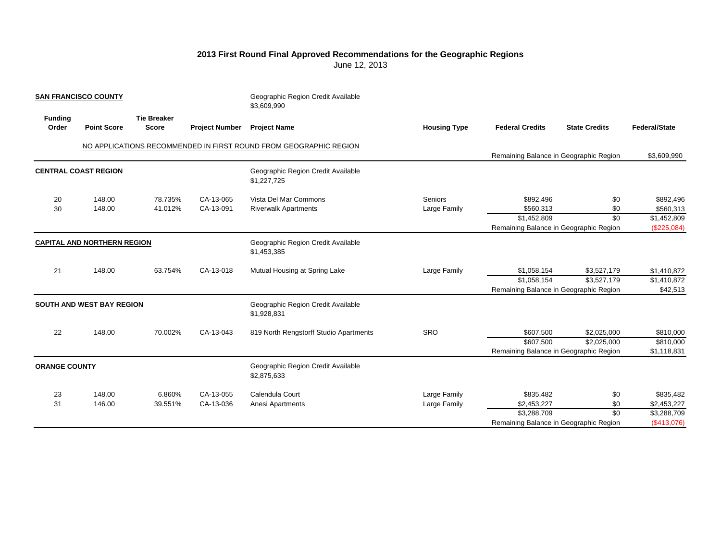## **2013 First Round Final Approved Recommendations for the Geographic Regions**

June 12, 2013

| <b>SAN FRANCISCO COUNTY</b> |                                    |                                    |                        | Geographic Region Credit Available<br>\$3,609,990                 |                         |                                                       |                      |                            |
|-----------------------------|------------------------------------|------------------------------------|------------------------|-------------------------------------------------------------------|-------------------------|-------------------------------------------------------|----------------------|----------------------------|
| <b>Funding</b><br>Order     | <b>Point Score</b>                 | <b>Tie Breaker</b><br><b>Score</b> | <b>Project Number</b>  | <b>Project Name</b>                                               | <b>Housing Type</b>     | <b>Federal Credits</b>                                | <b>State Credits</b> | Federal/State              |
|                             |                                    |                                    |                        | NO APPLICATIONS RECOMMENDED IN FIRST ROUND FROM GEOGRAPHIC REGION |                         | Remaining Balance in Geographic Region                |                      | \$3,609,990                |
|                             | <b>CENTRAL COAST REGION</b>        |                                    |                        | Geographic Region Credit Available<br>\$1,227,725                 |                         |                                                       |                      |                            |
| 20<br>30                    | 148.00<br>148.00                   | 78.735%<br>41.012%                 | CA-13-065<br>CA-13-091 | Vista Del Mar Commons<br><b>Riverwalk Apartments</b>              | Seniors<br>Large Family | \$892,496<br>\$560,313                                | \$0<br>\$0<br>\$0    | \$892,496<br>\$560,313     |
|                             |                                    |                                    |                        |                                                                   |                         | \$1,452,809<br>Remaining Balance in Geographic Region |                      | \$1,452,809<br>(\$225,084) |
|                             | <b>CAPITAL AND NORTHERN REGION</b> |                                    |                        | Geographic Region Credit Available<br>\$1,453,385                 |                         |                                                       |                      |                            |
| 21                          | 148.00                             | 63.754%                            | CA-13-018              | Mutual Housing at Spring Lake                                     | Large Family            | \$1,058,154                                           | \$3,527,179          | \$1,410,872                |
|                             |                                    |                                    |                        |                                                                   |                         | \$1,058,154                                           | \$3,527,179          | \$1,410,872                |
|                             |                                    |                                    |                        |                                                                   |                         | Remaining Balance in Geographic Region                |                      | \$42,513                   |
|                             | SOUTH AND WEST BAY REGION          |                                    |                        | Geographic Region Credit Available<br>\$1,928,831                 |                         |                                                       |                      |                            |
| 22                          | 148.00                             | 70.002%                            | CA-13-043              | 819 North Rengstorff Studio Apartments                            | <b>SRO</b>              | \$607,500                                             | \$2,025,000          | \$810,000                  |
|                             |                                    |                                    |                        |                                                                   |                         | \$607,500                                             | \$2,025,000          | \$810,000                  |
|                             |                                    |                                    |                        |                                                                   |                         | Remaining Balance in Geographic Region                |                      | \$1,118,831                |
| <b>ORANGE COUNTY</b>        |                                    |                                    |                        | Geographic Region Credit Available<br>\$2,875,633                 |                         |                                                       |                      |                            |
| 23                          | 148.00                             | 6.860%                             | CA-13-055              | Calendula Court                                                   | Large Family            | \$835,482                                             | \$0                  | \$835,482                  |
| 31                          | 146.00                             | 39.551%                            | CA-13-036              | Anesi Apartments                                                  | Large Family            | \$2,453,227                                           | \$0                  | \$2,453,227                |
|                             |                                    |                                    |                        |                                                                   |                         | \$3,288,709                                           | $\overline{30}$      | \$3,288,709                |
|                             |                                    |                                    |                        |                                                                   |                         | Remaining Balance in Geographic Region                |                      | (\$413,076)                |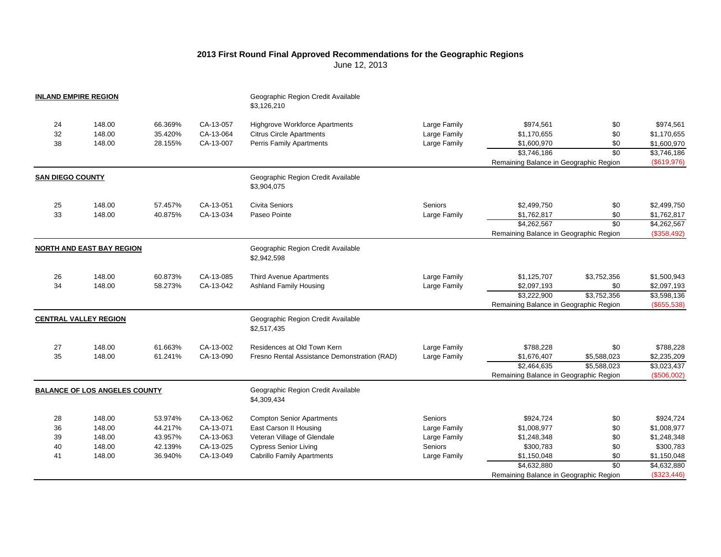**2013 First Round Final Approved Recommendations for the Geographic Regions**

June 12, 2013

|                                      | <b>INLAND EMPIRE REGION</b>      |         |           | Geographic Region Credit Available<br>\$3,126,210 |              |                                        |                 |             |
|--------------------------------------|----------------------------------|---------|-----------|---------------------------------------------------|--------------|----------------------------------------|-----------------|-------------|
| 24                                   | 148.00                           | 66.369% | CA-13-057 | <b>Highgrove Workforce Apartments</b>             | Large Family | \$974,561                              | \$0             | \$974,561   |
| 32                                   | 148.00                           | 35.420% | CA-13-064 | <b>Citrus Circle Apartments</b>                   | Large Family | \$1,170,655                            | \$0             | \$1,170,655 |
| 38                                   | 148.00                           | 28.155% | CA-13-007 | <b>Perris Family Apartments</b>                   | Large Family | \$1,600,970                            | \$0             | \$1,600,970 |
|                                      |                                  |         |           |                                                   |              | \$3,746,186                            | \$0             | \$3,746,186 |
|                                      |                                  |         |           |                                                   |              | Remaining Balance in Geographic Region |                 | (\$619,976) |
| <b>SAN DIEGO COUNTY</b>              |                                  |         |           | Geographic Region Credit Available<br>\$3,904,075 |              |                                        |                 |             |
| 25                                   | 148.00                           | 57.457% | CA-13-051 | Civita Seniors                                    | Seniors      | \$2,499,750                            | \$0             | \$2,499,750 |
| 33                                   | 148.00                           | 40.875% | CA-13-034 | Paseo Pointe                                      | Large Family | \$1,762,817                            | \$0             | \$1,762,817 |
|                                      |                                  |         |           |                                                   |              | \$4,262,567                            | \$0             | \$4,262,567 |
|                                      |                                  |         |           |                                                   |              | Remaining Balance in Geographic Region |                 | (\$358,492) |
|                                      | <b>NORTH AND EAST BAY REGION</b> |         |           | Geographic Region Credit Available<br>\$2,942,598 |              |                                        |                 |             |
| 26                                   | 148.00                           | 60.873% | CA-13-085 | Third Avenue Apartments                           | Large Family | \$1,125,707                            | \$3,752,356     | \$1,500,943 |
| 34                                   | 148.00                           | 58.273% | CA-13-042 | <b>Ashland Family Housing</b>                     | Large Family | \$2,097,193                            | \$0             | \$2,097,193 |
|                                      |                                  |         |           |                                                   |              | \$3,222,900                            | \$3,752,356     | \$3,598,136 |
|                                      |                                  |         |           |                                                   |              | Remaining Balance in Geographic Region |                 | (\$655,538) |
|                                      | <b>CENTRAL VALLEY REGION</b>     |         |           | Geographic Region Credit Available<br>\$2,517,435 |              |                                        |                 |             |
| 27                                   | 148.00                           | 61.663% | CA-13-002 | Residences at Old Town Kern                       | Large Family | \$788,228                              | \$0             | \$788,228   |
| 35                                   | 148.00                           | 61.241% | CA-13-090 | Fresno Rental Assistance Demonstration (RAD)      | Large Family | \$1,676,407                            | \$5,588,023     | \$2,235,209 |
|                                      |                                  |         |           |                                                   |              | \$2,464,635                            | \$5,588,023     | \$3,023,437 |
|                                      |                                  |         |           |                                                   |              | Remaining Balance in Geographic Region |                 | (\$506,002) |
| <b>BALANCE OF LOS ANGELES COUNTY</b> |                                  |         |           | Geographic Region Credit Available<br>\$4,309,434 |              |                                        |                 |             |
| 28                                   | 148.00                           | 53.974% | CA-13-062 | <b>Compton Senior Apartments</b>                  | Seniors      | \$924,724                              | \$0             | \$924,724   |
| 36                                   | 148.00                           | 44.217% | CA-13-071 | East Carson II Housing                            | Large Family | \$1,008,977                            | \$0             | \$1,008,977 |
| 39                                   | 148.00                           | 43.957% | CA-13-063 | Veteran Village of Glendale                       | Large Family | \$1,248,348                            | \$0             | \$1,248,348 |
| 40                                   | 148.00                           | 42.139% | CA-13-025 | <b>Cypress Senior Living</b>                      | Seniors      | \$300,783                              | \$0             | \$300,783   |
| 41                                   | 148.00                           | 36.940% | CA-13-049 | <b>Cabrillo Family Apartments</b>                 | Large Family | \$1,150,048                            | \$0             | \$1,150,048 |
|                                      |                                  |         |           |                                                   |              | \$4,632,880                            | $\overline{30}$ | \$4,632,880 |
|                                      |                                  |         |           |                                                   |              | Remaining Balance in Geographic Region |                 | (\$323,446) |